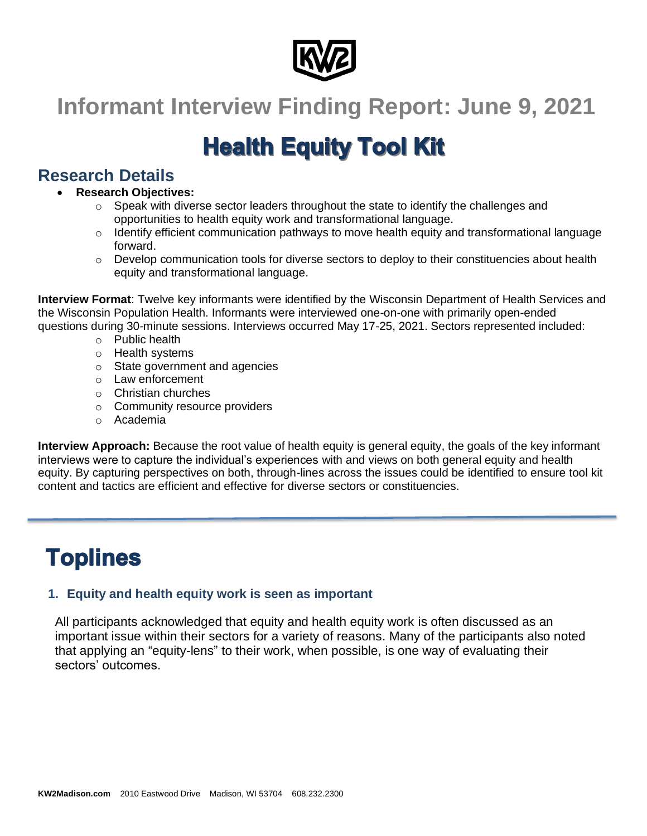

# **Informant Interview Finding Report: June 9, 2021**

# **Health Equity Tool Kit**

# **Research Details**

## • **Research Objectives:**

- $\circ$  Speak with diverse sector leaders throughout the state to identify the challenges and opportunities to health equity work and transformational language.
- $\circ$  Identify efficient communication pathways to move health equity and transformational language forward.
- $\circ$  Develop communication tools for diverse sectors to deploy to their constituencies about health equity and transformational language.

**Interview Format**: Twelve key informants were identified by the Wisconsin Department of Health Services and the Wisconsin Population Health. Informants were interviewed one-on-one with primarily open-ended questions during 30-minute sessions. Interviews occurred May 17-25, 2021. Sectors represented included:

- o Public health
- o Health systems
- o State government and agencies
- o Law enforcement
- o Christian churches
- o Community resource providers
- o Academia

**Interview Approach:** Because the root value of health equity is general equity, the goals of the key informant interviews were to capture the individual's experiences with and views on both general equity and health equity. By capturing perspectives on both, through-lines across the issues could be identified to ensure tool kit content and tactics are efficient and effective for diverse sectors or constituencies.

# **Toplines**

# **1. Equity and health equity work is seen as important**

All participants acknowledged that equity and health equity work is often discussed as an important issue within their sectors for a variety of reasons. Many of the participants also noted that applying an "equity-lens" to their work, when possible, is one way of evaluating their sectors' outcomes.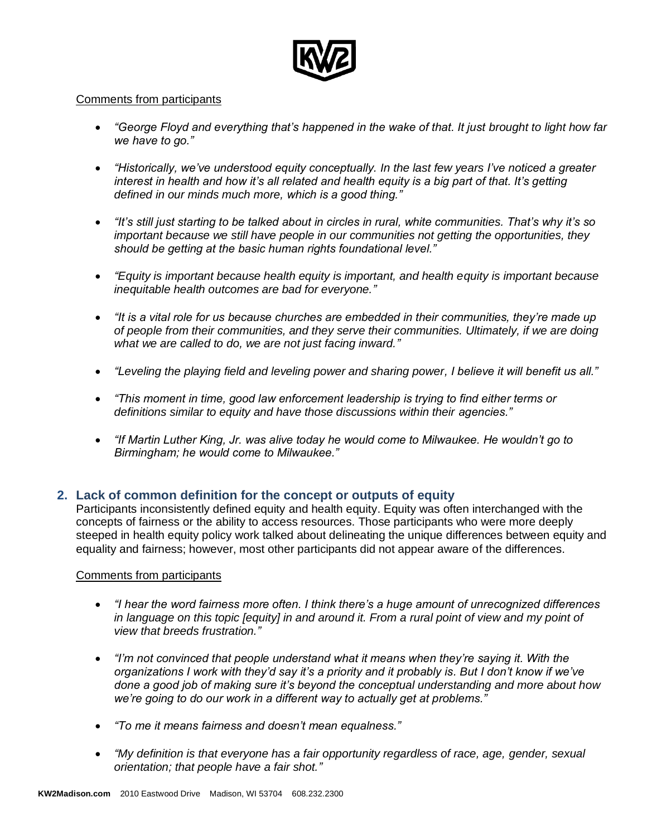

#### Comments from participants

- *"George Floyd and everything that's happened in the wake of that. It just brought to light how far we have to go."*
- *"Historically, we've understood equity conceptually. In the last few years I've noticed a greater interest in health and how it's all related and health equity is a big part of that. It's getting defined in our minds much more, which is a good thing."*
- *"It's still just starting to be talked about in circles in rural, white communities. That's why it's so important because we still have people in our communities not getting the opportunities, they should be getting at the basic human rights foundational level."*
- *"Equity is important because health equity is important, and health equity is important because inequitable health outcomes are bad for everyone."*
- *"It is a vital role for us because churches are embedded in their communities, they're made up of people from their communities, and they serve their communities. Ultimately, if we are doing what we are called to do, we are not just facing inward."*
- *"Leveling the playing field and leveling power and sharing power, I believe it will benefit us all."*
- *"This moment in time, good law enforcement leadership is trying to find either terms or definitions similar to equity and have those discussions within their agencies."*
- *"If Martin Luther King, Jr. was alive today he would come to Milwaukee. He wouldn't go to Birmingham; he would come to Milwaukee."*

#### **2. Lack of common definition for the concept or outputs of equity**

Participants inconsistently defined equity and health equity. Equity was often interchanged with the concepts of fairness or the ability to access resources. Those participants who were more deeply steeped in health equity policy work talked about delineating the unique differences between equity and equality and fairness; however, most other participants did not appear aware of the differences.

- *"I hear the word fairness more often. I think there's a huge amount of unrecognized differences in language on this topic [equity] in and around it. From a rural point of view and my point of view that breeds frustration."*
- *"I'm not convinced that people understand what it means when they're saying it. With the organizations I work with they'd say it's a priority and it probably is. But I don't know if we've done a good job of making sure it's beyond the conceptual understanding and more about how we're going to do our work in a different way to actually get at problems."*
- *"To me it means fairness and doesn't mean equalness."*
- *"My definition is that everyone has a fair opportunity regardless of race, age, gender, sexual orientation; that people have a fair shot."*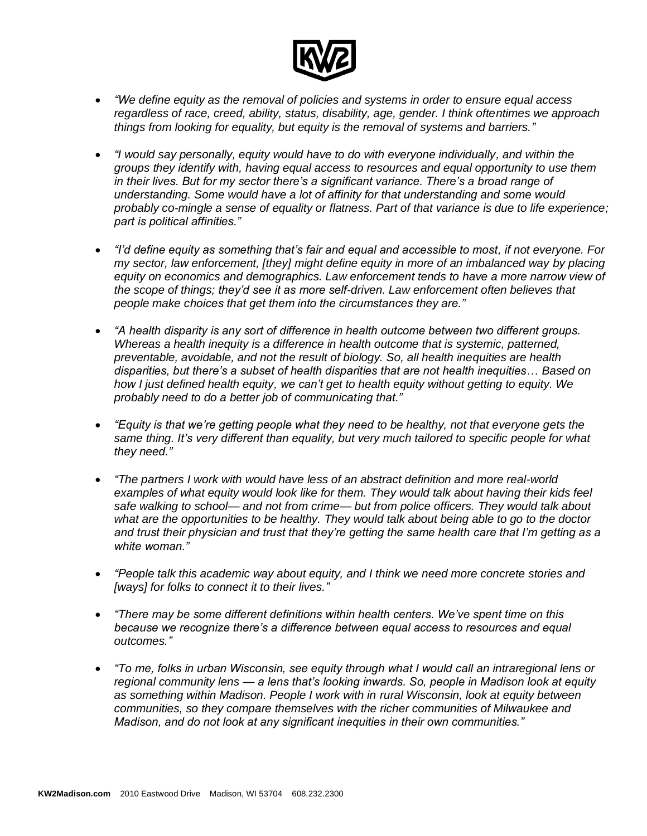

- *"We define equity as the removal of policies and systems in order to ensure equal access regardless of race, creed, ability, status, disability, age, gender. I think oftentimes we approach things from looking for equality, but equity is the removal of systems and barriers."*
- *"I would say personally, equity would have to do with everyone individually, and within the groups they identify with, having equal access to resources and equal opportunity to use them in their lives. But for my sector there's a significant variance. There's a broad range of understanding. Some would have a lot of affinity for that understanding and some would probably co-mingle a sense of equality or flatness. Part of that variance is due to life experience; part is political affinities."*
- *"I'd define equity as something that's fair and equal and accessible to most, if not everyone. For my sector, law enforcement, [they] might define equity in more of an imbalanced way by placing equity on economics and demographics. Law enforcement tends to have a more narrow view of the scope of things; they'd see it as more self-driven. Law enforcement often believes that people make choices that get them into the circumstances they are."*
- *"A health disparity is any sort of difference in health outcome between two different groups. Whereas a health inequity is a difference in health outcome that is systemic, patterned, preventable, avoidable, and not the result of biology. So, all health inequities are health disparities, but there's a subset of health disparities that are not health inequities… Based on how I just defined health equity, we can't get to health equity without getting to equity. We probably need to do a better job of communicating that."*
- *"Equity is that we're getting people what they need to be healthy, not that everyone gets the same thing. It's very different than equality, but very much tailored to specific people for what they need."*
- *"The partners I work with would have less of an abstract definition and more real-world examples of what equity would look like for them. They would talk about having their kids feel safe walking to school— and not from crime— but from police officers. They would talk about what are the opportunities to be healthy. They would talk about being able to go to the doctor and trust their physician and trust that they're getting the same health care that I'm getting as a white woman."*
- *"People talk this academic way about equity, and I think we need more concrete stories and [ways] for folks to connect it to their lives."*
- *"There may be some different definitions within health centers. We've spent time on this because we recognize there's a difference between equal access to resources and equal outcomes."*
- *"To me, folks in urban Wisconsin, see equity through what I would call an intraregional lens or regional community lens — a lens that's looking inwards. So, people in Madison look at equity as something within Madison. People I work with in rural Wisconsin, look at equity between communities, so they compare themselves with the richer communities of Milwaukee and Madison, and do not look at any significant inequities in their own communities."*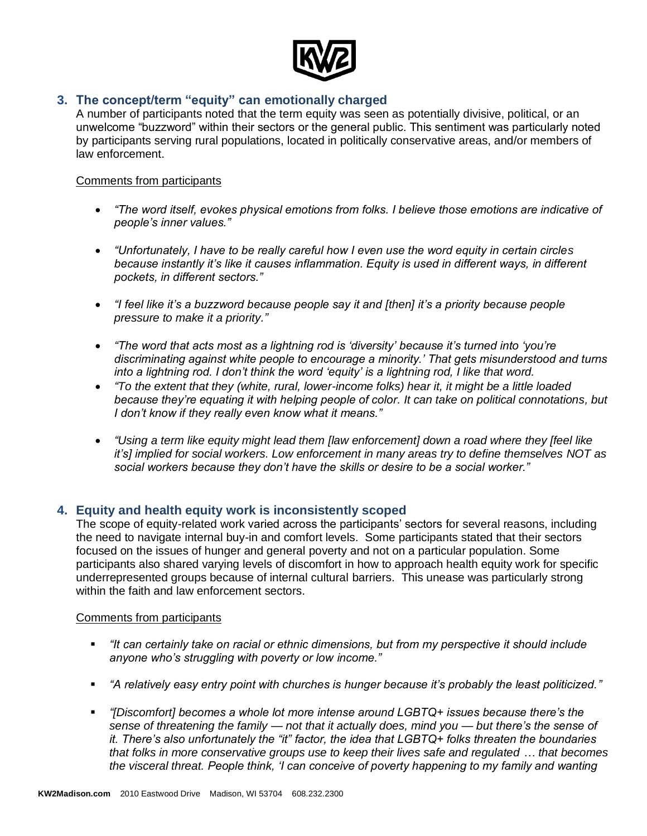

### **3. The concept/term "equity" can emotionally charged**

A number of participants noted that the term equity was seen as potentially divisive, political, or an unwelcome "buzzword" within their sectors or the general public. This sentiment was particularly noted by participants serving rural populations, located in politically conservative areas, and/or members of law enforcement.

#### Comments from participants

- *"The word itself, evokes physical emotions from folks. I believe those emotions are indicative of people's inner values."*
- *"Unfortunately, I have to be really careful how I even use the word equity in certain circles because instantly it's like it causes inflammation. Equity is used in different ways, in different pockets, in different sectors."*
- *"I feel like it's a buzzword because people say it and [then] it's a priority because people pressure to make it a priority."*
- *"The word that acts most as a lightning rod is 'diversity' because it's turned into 'you're discriminating against white people to encourage a minority.' That gets misunderstood and turns into a lightning rod. I don't think the word 'equity' is a lightning rod, I like that word.*
- *"To the extent that they (white, rural, lower-income folks) hear it, it might be a little loaded because they're equating it with helping people of color. It can take on political connotations, but I don't know if they really even know what it means."*
- *"Using a term like equity might lead them [law enforcement] down a road where they [feel like it's] implied for social workers. Low enforcement in many areas try to define themselves NOT as social workers because they don't have the skills or desire to be a social worker."*

#### **4. Equity and health equity work is inconsistently scoped**

The scope of equity-related work varied across the participants' sectors for several reasons, including the need to navigate internal buy-in and comfort levels. Some participants stated that their sectors focused on the issues of hunger and general poverty and not on a particular population. Some participants also shared varying levels of discomfort in how to approach health equity work for specific underrepresented groups because of internal cultural barriers. This unease was particularly strong within the faith and law enforcement sectors.

- *"It can certainly take on racial or ethnic dimensions, but from my perspective it should include anyone who's struggling with poverty or low income."*
- *"A relatively easy entry point with churches is hunger because it's probably the least politicized."*
- *"[Discomfort] becomes a whole lot more intense around LGBTQ+ issues because there's the sense of threatening the family — not that it actually does, mind you — but there's the sense of it. There's also unfortunately the "it" factor, the idea that LGBTQ+ folks threaten the boundaries that folks in more conservative groups use to keep their lives safe and regulated … that becomes the visceral threat. People think, 'I can conceive of poverty happening to my family and wanting*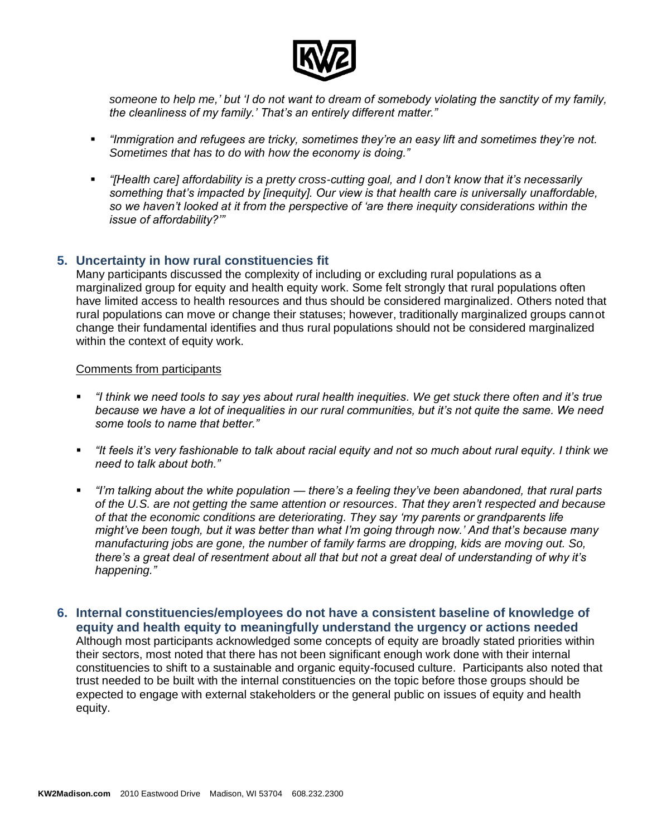

*someone to help me,' but 'I do not want to dream of somebody violating the sanctity of my family, the cleanliness of my family.' That's an entirely different matter."*

- *"Immigration and refugees are tricky, sometimes they're an easy lift and sometimes they're not. Sometimes that has to do with how the economy is doing."*
- *"[Health care] affordability is a pretty cross-cutting goal, and I don't know that it's necessarily something that's impacted by [inequity]. Our view is that health care is universally unaffordable, so we haven't looked at it from the perspective of 'are there inequity considerations within the issue of affordability?'"*

### **5. Uncertainty in how rural constituencies fit**

Many participants discussed the complexity of including or excluding rural populations as a marginalized group for equity and health equity work. Some felt strongly that rural populations often have limited access to health resources and thus should be considered marginalized. Others noted that rural populations can move or change their statuses; however, traditionally marginalized groups cannot change their fundamental identifies and thus rural populations should not be considered marginalized within the context of equity work.

- *"I think we need tools to say yes about rural health inequities. We get stuck there often and it's true because we have a lot of inequalities in our rural communities, but it's not quite the same. We need some tools to name that better."*
- *"It feels it's very fashionable to talk about racial equity and not so much about rural equity. I think we need to talk about both."*
- *"I'm talking about the white population — there's a feeling they've been abandoned, that rural parts of the U.S. are not getting the same attention or resources. That they aren't respected and because of that the economic conditions are deteriorating. They say 'my parents or grandparents life might've been tough, but it was better than what I'm going through now.' And that's because many manufacturing jobs are gone, the number of family farms are dropping, kids are moving out. So, there's a great deal of resentment about all that but not a great deal of understanding of why it's happening."*
- **6. Internal constituencies/employees do not have a consistent baseline of knowledge of equity and health equity to meaningfully understand the urgency or actions needed** Although most participants acknowledged some concepts of equity are broadly stated priorities within their sectors, most noted that there has not been significant enough work done with their internal constituencies to shift to a sustainable and organic equity-focused culture. Participants also noted that trust needed to be built with the internal constituencies on the topic before those groups should be expected to engage with external stakeholders or the general public on issues of equity and health equity.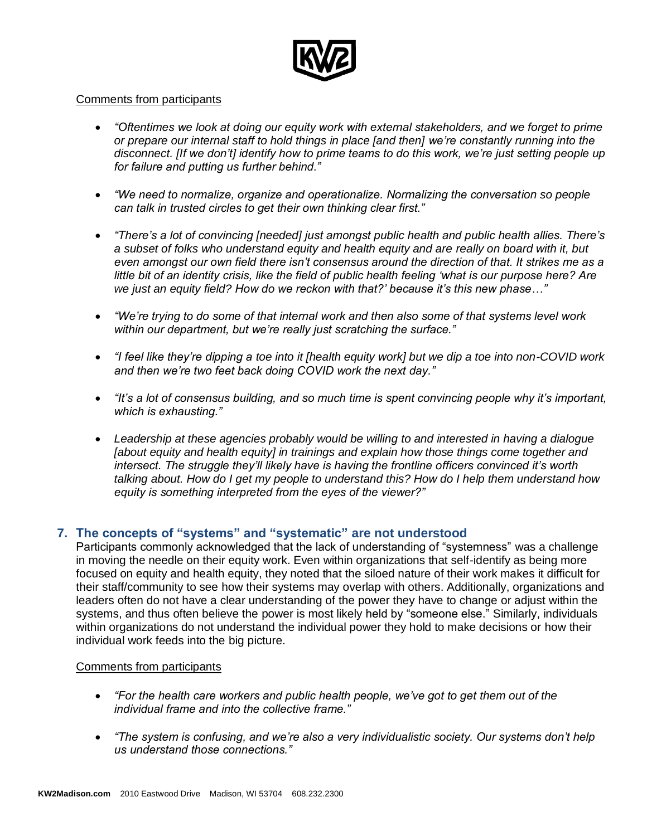

#### Comments from participants

- *"Oftentimes we look at doing our equity work with external stakeholders, and we forget to prime or prepare our internal staff to hold things in place [and then] we're constantly running into the disconnect. [If we don't] identify how to prime teams to do this work, we're just setting people up for failure and putting us further behind."*
- *"We need to normalize, organize and operationalize. Normalizing the conversation so people can talk in trusted circles to get their own thinking clear first."*
- *"There's a lot of convincing [needed] just amongst public health and public health allies. There's a subset of folks who understand equity and health equity and are really on board with it, but even amongst our own field there isn't consensus around the direction of that. It strikes me as a little bit of an identity crisis, like the field of public health feeling 'what is our purpose here? Are we just an equity field? How do we reckon with that?' because it's this new phase…"*
- *"We're trying to do some of that internal work and then also some of that systems level work within our department, but we're really just scratching the surface."*
- *"I feel like they're dipping a toe into it [health equity work] but we dip a toe into non-COVID work and then we're two feet back doing COVID work the next day."*
- *"It's a lot of consensus building, and so much time is spent convincing people why it's important, which is exhausting."*
- *Leadership at these agencies probably would be willing to and interested in having a dialogue [about equity and health equity] in trainings and explain how those things come together and intersect. The struggle they'll likely have is having the frontline officers convinced it's worth talking about. How do I get my people to understand this? How do I help them understand how equity is something interpreted from the eyes of the viewer?"*

#### **7. The concepts of "systems" and "systematic" are not understood**

Participants commonly acknowledged that the lack of understanding of "systemness" was a challenge in moving the needle on their equity work. Even within organizations that self-identify as being more focused on equity and health equity, they noted that the siloed nature of their work makes it difficult for their staff/community to see how their systems may overlap with others. Additionally, organizations and leaders often do not have a clear understanding of the power they have to change or adjust within the systems, and thus often believe the power is most likely held by "someone else." Similarly, individuals within organizations do not understand the individual power they hold to make decisions or how their individual work feeds into the big picture.

- *"For the health care workers and public health people, we've got to get them out of the individual frame and into the collective frame."*
- *"The system is confusing, and we're also a very individualistic society. Our systems don't help us understand those connections."*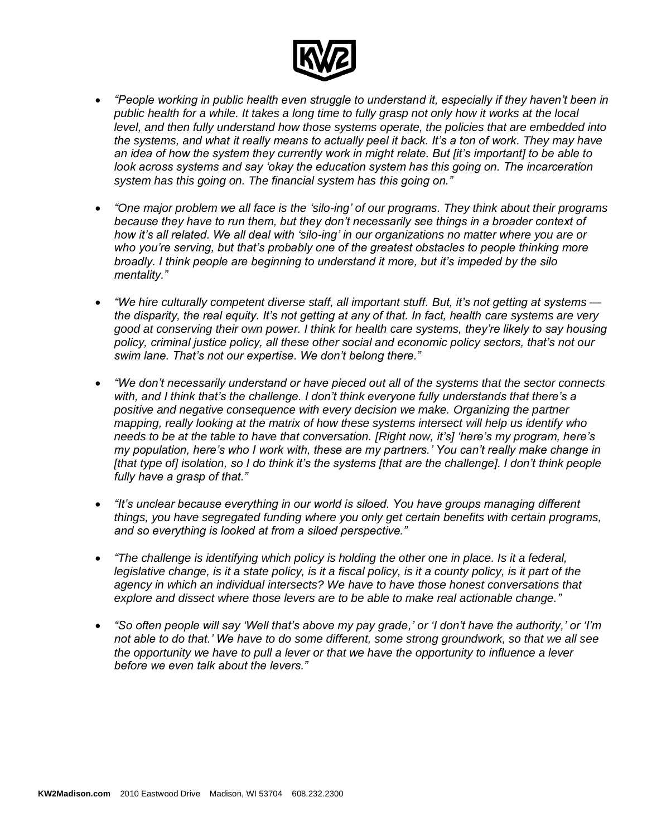

- *"People working in public health even struggle to understand it, especially if they haven't been in public health for a while. It takes a long time to fully grasp not only how it works at the local level, and then fully understand how those systems operate, the policies that are embedded into the systems, and what it really means to actually peel it back. It's a ton of work. They may have an idea of how the system they currently work in might relate. But [it's important] to be able to look across systems and say 'okay the education system has this going on. The incarceration system has this going on. The financial system has this going on."*
- *"One major problem we all face is the 'silo-ing' of our programs. They think about their programs because they have to run them, but they don't necessarily see things in a broader context of how it's all related. We all deal with 'silo-ing' in our organizations no matter where you are or who you're serving, but that's probably one of the greatest obstacles to people thinking more broadly. I think people are beginning to understand it more, but it's impeded by the silo mentality."*
- *"We hire culturally competent diverse staff, all important stuff. But, it's not getting at systems the disparity, the real equity. It's not getting at any of that. In fact, health care systems are very good at conserving their own power. I think for health care systems, they're likely to say housing policy, criminal justice policy, all these other social and economic policy sectors, that's not our swim lane. That's not our expertise. We don't belong there."*
- *"We don't necessarily understand or have pieced out all of the systems that the sector connects with, and I think that's the challenge. I don't think everyone fully understands that there's a positive and negative consequence with every decision we make. Organizing the partner mapping, really looking at the matrix of how these systems intersect will help us identify who needs to be at the table to have that conversation. [Right now, it's] 'here's my program, here's my population, here's who I work with, these are my partners.' You can't really make change in [that type of] isolation, so I do think it's the systems [that are the challenge]. I don't think people fully have a grasp of that."*
- *"It's unclear because everything in our world is siloed. You have groups managing different things, you have segregated funding where you only get certain benefits with certain programs, and so everything is looked at from a siloed perspective."*
- *"The challenge is identifying which policy is holding the other one in place. Is it a federal, legislative change, is it a state policy, is it a fiscal policy, is it a county policy, is it part of the agency in which an individual intersects? We have to have those honest conversations that explore and dissect where those levers are to be able to make real actionable change."*
- *"So often people will say 'Well that's above my pay grade,' or 'I don't have the authority,' or 'I'm not able to do that.' We have to do some different, some strong groundwork, so that we all see the opportunity we have to pull a lever or that we have the opportunity to influence a lever before we even talk about the levers."*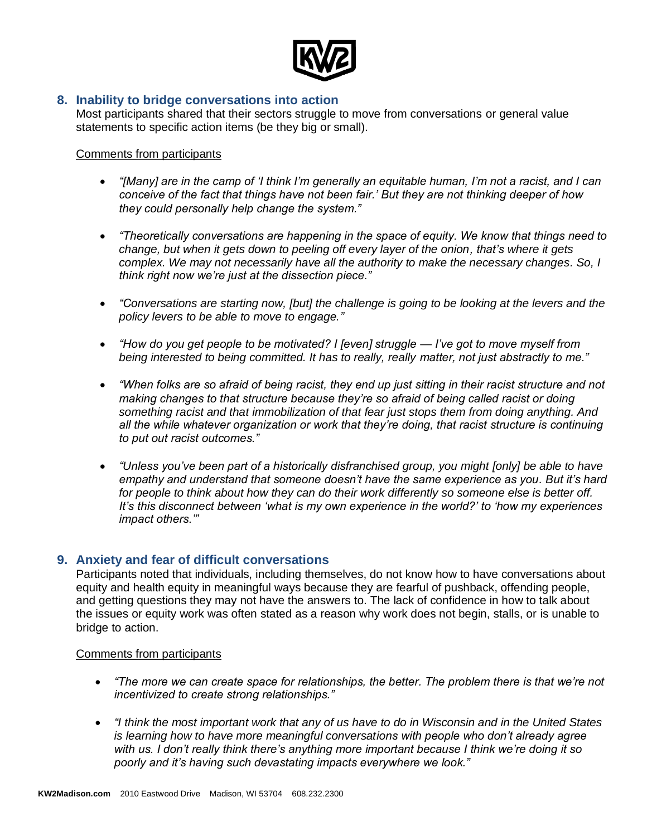

### **8. Inability to bridge conversations into action**

Most participants shared that their sectors struggle to move from conversations or general value statements to specific action items (be they big or small).

#### Comments from participants

- *"[Many] are in the camp of 'I think I'm generally an equitable human, I'm not a racist, and I can conceive of the fact that things have not been fair.' But they are not thinking deeper of how they could personally help change the system."*
- *"Theoretically conversations are happening in the space of equity. We know that things need to change, but when it gets down to peeling off every layer of the onion, that's where it gets complex. We may not necessarily have all the authority to make the necessary changes. So, I think right now we're just at the dissection piece."*
- *"Conversations are starting now, [but] the challenge is going to be looking at the levers and the policy levers to be able to move to engage."*
- *"How do you get people to be motivated? I [even] struggle — I've got to move myself from being interested to being committed. It has to really, really matter, not just abstractly to me."*
- *"When folks are so afraid of being racist, they end up just sitting in their racist structure and not making changes to that structure because they're so afraid of being called racist or doing something racist and that immobilization of that fear just stops them from doing anything. And all the while whatever organization or work that they're doing, that racist structure is continuing to put out racist outcomes."*
- *"Unless you've been part of a historically disfranchised group, you might [only] be able to have empathy and understand that someone doesn't have the same experience as you. But it's hard for people to think about how they can do their work differently so someone else is better off. It's this disconnect between 'what is my own experience in the world?' to 'how my experiences impact others.'"*

#### **9. Anxiety and fear of difficult conversations**

Participants noted that individuals, including themselves, do not know how to have conversations about equity and health equity in meaningful ways because they are fearful of pushback, offending people, and getting questions they may not have the answers to. The lack of confidence in how to talk about the issues or equity work was often stated as a reason why work does not begin, stalls, or is unable to bridge to action.

- *"The more we can create space for relationships, the better. The problem there is that we're not incentivized to create strong relationships."*
- *"I think the most important work that any of us have to do in Wisconsin and in the United States is learning how to have more meaningful conversations with people who don't already agree with us. I don't really think there's anything more important because I think we're doing it so poorly and it's having such devastating impacts everywhere we look."*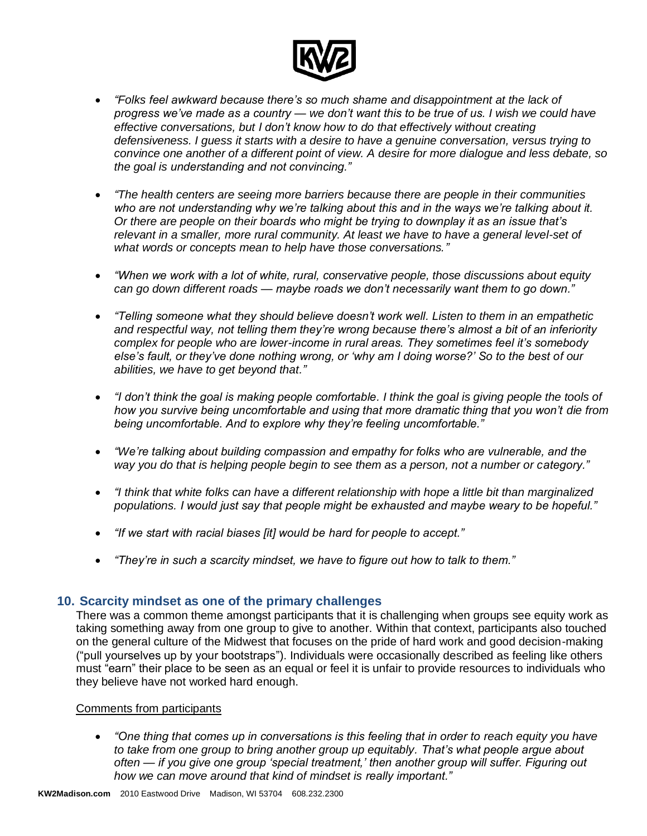

- *"Folks feel awkward because there's so much shame and disappointment at the lack of progress we've made as a country — we don't want this to be true of us. I wish we could have effective conversations, but I don't know how to do that effectively without creating defensiveness. I guess it starts with a desire to have a genuine conversation, versus trying to convince one another of a different point of view. A desire for more dialogue and less debate, so the goal is understanding and not convincing."*
- *"The health centers are seeing more barriers because there are people in their communities who are not understanding why we're talking about this and in the ways we're talking about it. Or there are people on their boards who might be trying to downplay it as an issue that's relevant in a smaller, more rural community. At least we have to have a general level-set of what words or concepts mean to help have those conversations."*
- *"When we work with a lot of white, rural, conservative people, those discussions about equity can go down different roads — maybe roads we don't necessarily want them to go down."*
- *"Telling someone what they should believe doesn't work well. Listen to them in an empathetic and respectful way, not telling them they're wrong because there's almost a bit of an inferiority complex for people who are lower-income in rural areas. They sometimes feel it's somebody else's fault, or they've done nothing wrong, or 'why am I doing worse?' So to the best of our abilities, we have to get beyond that."*
- *"I don't think the goal is making people comfortable. I think the goal is giving people the tools of how you survive being uncomfortable and using that more dramatic thing that you won't die from being uncomfortable. And to explore why they're feeling uncomfortable."*
- *"We're talking about building compassion and empathy for folks who are vulnerable, and the way you do that is helping people begin to see them as a person, not a number or category."*
- *"I think that white folks can have a different relationship with hope a little bit than marginalized populations. I would just say that people might be exhausted and maybe weary to be hopeful."*
- *"If we start with racial biases [it] would be hard for people to accept."*
- *"They're in such a scarcity mindset, we have to figure out how to talk to them."*

#### **10. Scarcity mindset as one of the primary challenges**

There was a common theme amongst participants that it is challenging when groups see equity work as taking something away from one group to give to another. Within that context, participants also touched on the general culture of the Midwest that focuses on the pride of hard work and good decision-making ("pull yourselves up by your bootstraps"). Individuals were occasionally described as feeling like others must "earn" their place to be seen as an equal or feel it is unfair to provide resources to individuals who they believe have not worked hard enough.

#### Comments from participants

• *"One thing that comes up in conversations is this feeling that in order to reach equity you have to take from one group to bring another group up equitably. That's what people argue about often — if you give one group 'special treatment,' then another group will suffer. Figuring out how we can move around that kind of mindset is really important."*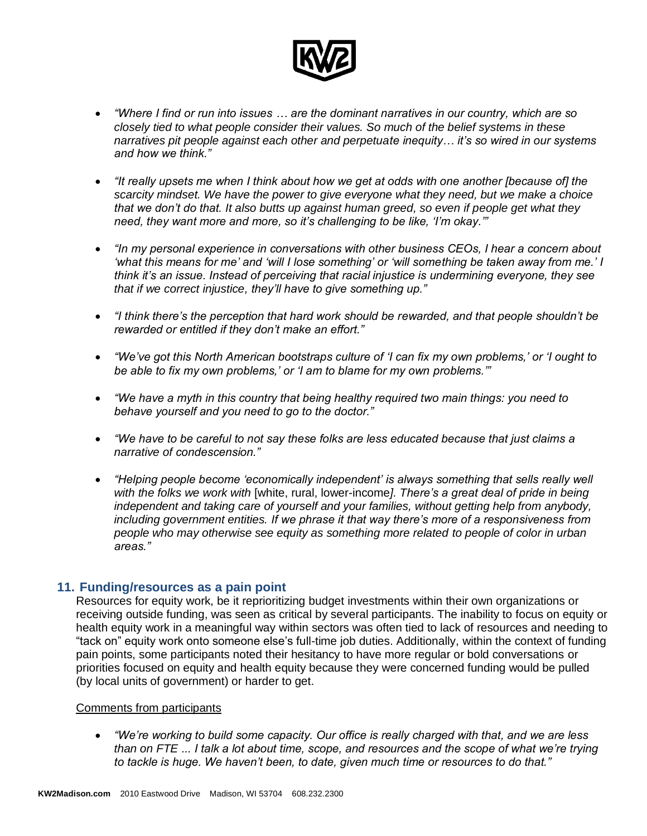

- *"Where I find or run into issues … are the dominant narratives in our country, which are so closely tied to what people consider their values. So much of the belief systems in these narratives pit people against each other and perpetuate inequity… it's so wired in our systems and how we think."*
- *"It really upsets me when I think about how we get at odds with one another [because of] the scarcity mindset. We have the power to give everyone what they need, but we make a choice that we don't do that. It also butts up against human greed, so even if people get what they need, they want more and more, so it's challenging to be like, 'I'm okay.'"*
- *"In my personal experience in conversations with other business CEOs, I hear a concern about 'what this means for me' and 'will I lose something' or 'will something be taken away from me.' I think it's an issue. Instead of perceiving that racial injustice is undermining everyone, they see that if we correct injustice, they'll have to give something up."*
- *"I think there's the perception that hard work should be rewarded, and that people shouldn't be rewarded or entitled if they don't make an effort."*
- *"We've got this North American bootstraps culture of 'I can fix my own problems,' or 'I ought to be able to fix my own problems,' or 'I am to blame for my own problems.'"*
- *"We have a myth in this country that being healthy required two main things: you need to behave yourself and you need to go to the doctor."*
- *"We have to be careful to not say these folks are less educated because that just claims a narrative of condescension."*
- *"Helping people become 'economically independent' is always something that sells really well with the folks we work with* [white, rural, lower-income*]. There's a great deal of pride in being independent and taking care of yourself and your families, without getting help from anybody, including government entities. If we phrase it that way there's more of a responsiveness from people who may otherwise see equity as something more related to people of color in urban areas."*

#### **11. Funding/resources as a pain point**

Resources for equity work, be it reprioritizing budget investments within their own organizations or receiving outside funding, was seen as critical by several participants. The inability to focus on equity or health equity work in a meaningful way within sectors was often tied to lack of resources and needing to "tack on" equity work onto someone else's full-time job duties. Additionally, within the context of funding pain points, some participants noted their hesitancy to have more regular or bold conversations or priorities focused on equity and health equity because they were concerned funding would be pulled (by local units of government) or harder to get.

#### Comments from participants

• *"We're working to build some capacity. Our office is really charged with that, and we are less than on FTE ... I talk a lot about time, scope, and resources and the scope of what we're trying to tackle is huge. We haven't been, to date, given much time or resources to do that."*